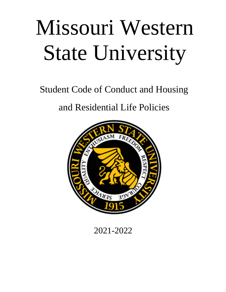# Missouri Western State University

Student Code of Conduct and Housing

and Residential Life Policies



2021-2022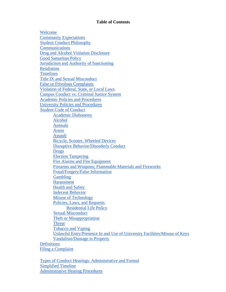#### **Table of Contents**

Welcome Community Expectations Student Conduct Philosophy Communications Drug and Alcohol Violation Disclosure Good Samaritan Policy Jurisdiction and Authority of Sanctioning **Retaliation Timelines** Title IX and Sexual Misconduct False or Frivolous Complaints Violation of Federal, State, or Local Laws Campus Conduct vs. Criminal Justice System Academic Policies and Procedures University Policies and Procedures Student Code of Conduct Academic Dishonesty Alcohol Animals Arson Assault Bicycle, Scooter, Wheeled Devices Disruptive Behavior/Disorderly Conduct Drugs Election Tampering Fire Alarms and Fire Equipment Firearms and Weapons; Flammable Materials and Fireworks Fraud/Forgery/False Information Gambling Harassment Health and Safety Indecent Behavior Misuse of Technology Policies, Laws, and Requests Residential Life Policy Sexual Misconduct Theft or Misappropriation **Threat** Tobacco and Vaping Unlawful Entry/Presence In and Use of University Facilities/Misuse of Keys Vandalism/Damage to Property **Definitions** Filing a Complaint

Types of Conduct Hearings: Administrative and Formal Simplified Timeline Administrative Hearing Procedures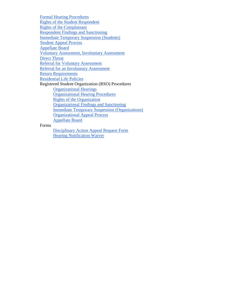Formal Hearing Procedures Rights of the Student Respondent Rights of the Complainant Respondent Findings and Sanctioning Immediate Temporary Suspension (Students) Student Appeal Process Appellate Board Voluntary Assessment, Involuntary Assessment Direct Threat Referral for Voluntary Assessment Referral for an Involuntary Assessment Return Requirements Residential Life Policies Registered Student Organization (RSO) Procedures Organizational Hearings Organizational Hearing Procedures Rights of the Organization Organizational Findings and Sanctioning Immediate Temporary Suspension (Organizations) Organizational Appeal Process Appellate Board Forms

Disciplinary Action Appeal Request Form Hearing Notification Waiver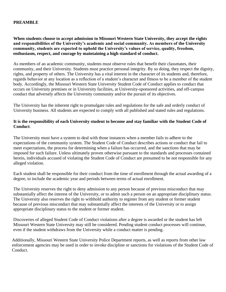## **PREAMBLE**

## **When students choose to accept admission to Missouri Western State University, they accept the rights and responsibilities of the University's academic and social community. As members of the University community, students are expected to uphold the University's values of service, quality, freedom, enthusiasm, respect, and courage by maintaining a high standard of conduct.**

As members of an academic community, students must observe rules that benefit their classmates, their community, and their University. Students must practice personal integrity. By so doing, they respect the dignity, rights, and property of others. The University has a vital interest in the character of its students and, therefore, regards behavior at any location as a reflection of a student's character and fitness to be a member of the student body. Accordingly, the Missouri Western State University Student Code of Conduct applies to conduct that occurs on University premises or in University facilities, at University-sponsored activities, and off-campus conduct that adversely affects the University community and/or the pursuit of its objectives.

The University has the inherent right to promulgate rules and regulations for the safe and orderly conduct of University business. All students are expected to comply with all published and stated rules and regulations.

## **It is the responsibility of each University student to become and stay familiar with the Student Code of Conduct**.

The University must have a system to deal with those instances when a member fails to adhere to the expectations of the community system. The Student Code of Conduct describes actions or conduct that fail to meet expectations, the process for determining when a failure has occurred, and the sanctions that may be imposed for such failure. Unless ultimately proven otherwise pursuant to the standards and processes contained herein, individuals accused of violating the Student Code of Conduct are presumed to be not responsible for any alleged violation.

Each student shall be responsible for their conduct from the time of enrollment through the actual awarding of a degree, to include the academic year and periods between terms of actual enrollment.

The University reserves the right to deny admission to any person because of previous misconduct that may substantially affect the interest of the University, or to admit such a person on an appropriate disciplinary status. The University also reserves the right to withhold authority to register from any student or former student because of previous misconduct that may substantially affect the interests of the University or to assign appropriate disciplinary status to the student or former student.

Discoveries of alleged Student Code of Conduct violations after a degree is awarded or the student has left Missouri Western State University may still be considered. Pending student conduct processes will continue, even if the student withdraws from the University while a conduct matter is pending.

Additionally, Missouri Western State University Police Department reports, as well as reports from other law enforcement agencies may be used in order to invoke discipline or sanctions for violations of the Student Code of Conduct.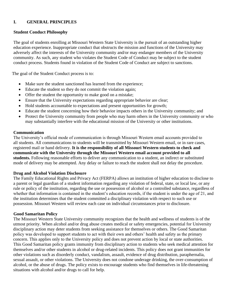## **I. GENERAL PRINCIPLES**

## **Student Conduct Philosophy**

The goal of students enrolling at Missouri Western State University is the pursuit of an outstanding higher education experience. Inappropriate conduct that obstructs the mission and functions of the University may adversely affect the interests of the University community and/or may endanger members of the University community. As such, any student who violates the Student Code of Conduct may be subject to the student conduct process. Students found in violation of the Student Code of Conduct are subject to sanctions.

The goal of the Student Conduct process is to:

- Make sure the student sanctioned has learned from the experience;
- Educate the student so they do not commit the violation again;
- Offer the student the opportunity to make good on a mistake;
- Ensure that the University expectations regarding appropriate behavior are clear;
- Hold students accountable to expectations and present opportunities for growth;
- Educate the student concerning how their behavior impacts others in the University community; and
- Protect the University community from people who may harm others in the University community or who may substantially interfere with the educational mission of the University or other institutions.

#### **Communication**

The University's official mode of communication is through Missouri Western email accounts provided to all students. All communications to students will be transmitted by Missouri Western email, or in rare cases, registered mail or hand delivery. **It is the responsibility of all Missouri Western students to check and communicate with the University through the Missouri Western email account provided to all students.** Following reasonable efforts to deliver any communication to a student, an indirect or substituted mode of delivery may be attempted. Any delay or failure to reach the student shall not delay the procedure.

## **Drug and Alcohol Violation Disclosure**

The Family Educational Rights and Privacy Act (FERPA) allows an institution of higher education to disclose to a parent or legal guardian of a student information regarding any violation of federal, state, or local law, or any rule or policy of the institution, regarding the use or possession of alcohol or a controlled substance, regardless of whether that information is contained in the student's education records, if the student is under the age of 21, and the institution determines that the student committed a disciplinary violation with respect to such use or possession. Missouri Western will review each case on individual circumstances prior to disclosure.

## **Good Samaritan Policy**

The Missouri Western State University community recognizes that the health and wellness of students is of the utmost priority. When alcohol and/or drug abuse creates medical or safety emergencies, potential for University disciplinary action may deter students from seeking assistance for themselves or others. The Good Samaritan policy was developed to support students to act with their own and others' health and safety as the primary concern. This applies only to the University policy and does not prevent action by local or state authorities. This Good Samaritan policy grants immunity from disciplinary action to students who seek medical attention for themselves and/or other students in alcohol or drug-related incidents. This policy does not grant immunities for other violations such as disorderly conduct, vandalism, assault, evidence of drug distribution, paraphernalia, sexual assault, or other violations. The University does not condone underage drinking, the over-consumption of alcohol, or the abuse of drugs. The policy exists to encourage students who find themselves in life-threatening situations with alcohol and/or drugs to call for help.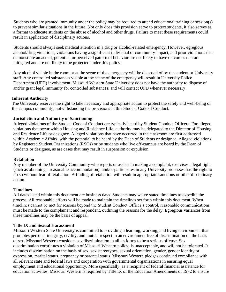Students who are granted immunity under the policy may be required to attend educational training or session(s) to prevent similar situations in the future. Not only does this provision serve to protect students, it also serves as a format to educate students on the abuse of alcohol and other drugs. Failure to meet these requirements could result in application of disciplinary actions.

Students should always seek medical attention in a drug or alcohol-related emergency. However, egregious alcohol/drug violations, violations having a significant individual or community impact, and prior violations that demonstrate an actual, potential, or perceived pattern of behavior are not likely to have outcomes that are mitigated and are not likely to be protected under this policy.

Any alcohol visible in the room or at the scene of the emergency will be disposed of by the student or University staff. Any controlled substances visible at the scene of the emergency will result in University Police Department (UPD) involvement. Missouri Western State University does not have the authority to dispose of and/or grant legal immunity for controlled substances, and will contact UPD whenever necessary.

## **Inherent Authority**

The University reserves the right to take necessary and appropriate action to protect the safety and well-being of the campus community, notwithstanding the provisions in this Student Code of Conduct.

## **Jurisdiction and Authority of Sanctioning**

Alleged violations of the Student Code of Conduct are typically heard by Student Conduct Officers. For alleged violations that occur within Housing and Residence Life, authority may be delegated to the Director of Housing and Residence Life or designee. Alleged violations that have occurred in the classroom are first addressed within Academic Affairs, with the potential to be heard by the Dean of Students or designee. Alleged violations by Registered Student Organizations (RSOs) or by students who live off-campus are heard by the Dean of Students or designee, as are cases that may result in suspension or expulsion.

## **Retaliation**

Any member of the University Community who reports or assists in making a complaint, exercises a legal right (such as obtaining a reasonable accommodation), and/or participates in any University processes has the right to do so without fear of retaliation. A finding of retaliation will result in appropriate sanctions or other disciplinary action.

## **Timelines**

All dates listed within this document are business days. Students may waive stated timelines to expedite the process. All reasonable efforts will be made to maintain the timelines set forth within this document. When timelines cannot be met for reasons beyond the Student Conduct Officer's control, reasonable communications must be made to the complainant and respondent, outlining the reasons for the delay. Egregious variances from these timelines may be the basis of appeal.

## **Title IX and Sexual Harassment**

Missouri Western State University is committed to providing a learning, working, and living environment that promotes personal integrity, civility, and mutual respect in an environment free of discrimination on the basis of sex. Missouri Western considers sex discrimination in all its forms to be a serious offense. Sex discrimination constitutes a violation of Missouri Western policy, is unacceptable, and will not be tolerated. It includes discrimination on the basis of sex, sex stereotypes, sexual orientation, gender, gender identity or expression, marital status, pregnancy or parental status. Missouri Western pledges continued compliance with all relevant state and federal laws and cooperation with governmental organizations in ensuring equal employment and educational opportunity. More specifically, as a recipient of federal financial assistance for education activities, Missouri Western is required by Title IX of the Education Amendments of 1972 to ensure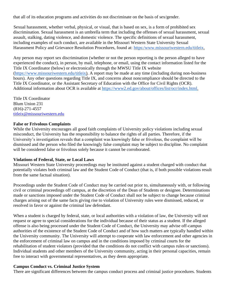that all of its education programs and activities do not discriminate on the basis of sex/gender.

Sexual harassment, whether verbal, physical, or visual, that is based on sex, is a form of prohibited sex discrimination. Sexual harassment is an umbrella term that including the offenses of sexual harassment, sexual assault, stalking, dating violence, and domestic violence. The specific definitions of sexual harassment, including examples of such conduct, are available in the Missouri Western State University Sexual Harassment Policy and Grievance Resolution Procedures, found at: https:/www.missouriwestern.edu/titleix.

Any person may report sex discrimination (whether or not the person reporting is the person alleged to have experienced the conduct), in person, by mail, telephone, or email, using the contact information listed for the Title IX Coordinator (below) or electronically through the MWSU Title IX website (https://www.missouriwestern.edu/titleix). A report may be made at any time (including during non-business hours). Any other questions regarding Title IX, and concerns about noncompliance should be directed to the Title IX Coordinator, or the Assistant Secretary of Education with the Office for Civil Rights (OCR). Additional information about OCR is available at https://www2.ed.gov/about/offices/list/ocr/index.html.

Title IX Coordinator Blum Union 231 (816)-271-4557 [titleix@missouriwestern.edu](mailto:titleix@missouriwestern.edu)

## **False or Frivolous Complaints**

While the University encourages all good faith complaints of University policy violations including sexual misconduct, the University has the responsibility to balance the rights of all parties. Therefore, if the University's investigation reveals that a complaint was knowingly false or frivolous, the complaint will be dismissed and the person who filed the knowingly false complaint may be subject to discipline. No complaint will be considered false or frivolous solely because it cannot be corroborated.

#### **Violations of Federal, State, or Local Laws**

Missouri Western State University proceedings may be instituted against a student charged with conduct that potentially violates both criminal law and the Student Code of Conduct (that is, if both possible violations result from the same factual situation).

Proceedings under the Student Code of Conduct may be carried out prior to, simultaneously with, or following civil or criminal proceedings off campus, at the discretion of the Dean of Students or designee. Determinations made or sanctions imposed under the Student Code of Conduct shall not be subject to change because criminal charges arising out of the same facts giving rise to violation of University rules were dismissed, reduced, or resolved in favor or against the criminal law defendant.

When a student is charged by federal, state, or local authorities with a violation of law, the University will not request or agree to special considerations for the individual because of their status as a student. If the alleged offense is also being processed under the Student Code of Conduct, the University may advise off-campus authorities of the existence of the Student Code of Conduct and of how such matters are typically handled within the University community. The University will attempt to cooperate with law enforcement and other agencies in the enforcement of criminal law on campus and in the conditions imposed by criminal courts for the rehabilitation of student violators (provided that the conditions do not conflict with campus rules or sanctions). Individual students and other members of the University community, acting in their personal capacities, remain free to interact with governmental representatives, as they deem appropriate.

#### **Campus Conduct vs. Criminal Justice System**

There are significant differences between the campus conduct process and criminal justice procedures. Students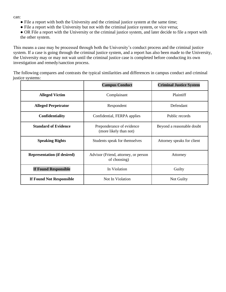can:

- File a report with both the University and the criminal justice system at the same time;
- File a report with the University but not with the criminal justice system, or vice versa;
- OR File a report with the University or the criminal justice system, and later decide to file a report with the other system.

This means a case may be processed through both the University's conduct process and the criminal justice system. If a case is going through the criminal justice system, and a report has also been made to the University, the University may or may not wait until the criminal justice case is completed before conducting its own investigation and remedy/sanction process.

The following compares and contrasts the typical similarities and differences in campus conduct and criminal justice systems:

|                                    | <b>Campus Conduct</b>                                | <b>Criminal Justice System</b> |
|------------------------------------|------------------------------------------------------|--------------------------------|
| <b>Alleged Victim</b>              | Complainant                                          | Plaintiff                      |
| <b>Alleged Perpetrator</b>         | Respondent                                           | Defendant                      |
| <b>Confidentiality</b>             | Confidential, FERPA applies                          | Public records                 |
| <b>Standard of Evidence</b>        | Preponderance of evidence<br>(more likely than not)  | Beyond a reasonable doubt      |
| <b>Speaking Rights</b>             | Students speak for themselves                        | Attorney speaks for client     |
| <b>Representation (if desired)</b> | Advisor (Friend, attorney, or person<br>of choosing) | Attorney                       |
| <b>If Found Responsible</b>        | In Violation                                         | Guilty                         |
| If Found Not Responsible           | Not In Violation                                     | Not Guilty                     |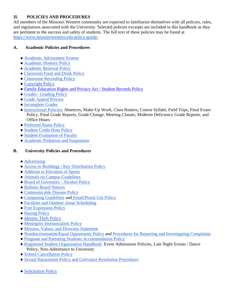# **II. POLICIES AND PROCEDURES**

All members of the Missouri Western community are expected to familiarize themselves with all policies, rules, and regulations associated with the University. Selected policies excerpts are included in this handbook as they are pertinent to the success and safety of students. The full text of these policies may be found at https://www.missouriwestern.edu/policy-guide/.

# **A. Academic Policies and Procedures**

- Academic Advisement System
- Academic Honesty Policy
- Academic Renewal Policy
- Classroom Food and Drink Policy
- Classroom Recording Policy
- Copyright Policy
- [Family Education Rights and Privacy Act / Student Records Policy](https://intranet.missouriwestern.edu/registrar/ferpa/)
- Grades / Grading Policy
- Grade Appeal Process
- Incomplete Grades
- Instructional Policies: Absences, Make-Up Work, Class Rosters, Course Syllabi, Field Trips, Final Exam Policy, Final Grade Reports, Grade Change, Meeting Classes, Midterm Deficiency Grade Reports, and Office Hours
- Preferred Name Policy
- Student Credit Hour Policy
- Student Evaluation of Faculty
- Academic Probation and Suspension

## **B. University Policies and Procedures**

- Advertising
- Access to Buildings / Key Distribution Policy
- Addition or Elevation of Sports
- Animals on Campus Guidelines
- Board of Governors Alcohol Policy
- Bulletin Board Notices
- Communicable Disease Policy
- Computing Guidelines and Email/Portal Use Policy
- Facilities and Outdoor Areas Scheduling
- Free Expression Policy
- Hazing Policy
- Identity Theft Policy
- Meningitis Immunization Policy
- Mission, Values, and Diversity Statement
- Nondiscrimination/Equal Opportunity Policy and Procedures for Reporting and Investigating Complaints
- Pregnant and Parenting Students Accommodation Policy
- Registered Student Organization Handbook: Event Admissions Policies, Late Night Events / Dance Policy, Non-Admittance to University
- School Cancellation Policy
- Sexual Harassment Policy and Grievance Resolution Procedures
- Solicitation Policy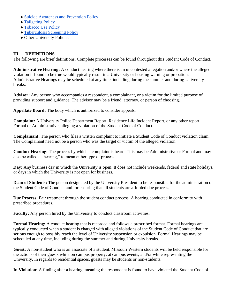- Suicide Awareness and Prevention Policy
- Tailgating Policy
- Tobacco Use Policy
- Tuberculosis Screening Policy
- Other University Policies

## **III. DEFINITIONS**

The following are brief definitions. Complete processes can be found throughout this Student Code of Conduct.

**Administrative Hearing:** A conduct hearing where there is an uncontested allegation and/or where the alleged violation if found to be true would typically result in a University or housing warning or probation. Administrative Hearings may be scheduled at any time, including during the summer and during University breaks.

**Advisor:** Any person who accompanies a respondent, a complainant, or a victim for the limited purpose of providing support and guidance. The advisor may be a friend, attorney, or person of choosing.

**Appellate Board:** The body which is authorized to consider appeals.

**Complaint:** A University Police Department Report, Residence Life Incident Report, or any other report, Formal or Administrative, alleging a violation of the Student Code of Conduct.

**Complainant:** The person who files a written complaint to initiate a Student Code of Conduct violation claim. The Complainant need not be a person who was the target or victim of the alleged violation.

**Conduct Hearing:** The process by which a complaint is heard. This may be Administrative or Formal and may also be called a "hearing," to mean either type of process.

**Day:** Any business day in which the University is open. It does not include weekends, federal and state holidays, or days in which the University is not open for business.

**Dean of Students:** The person designated by the University President to be responsible for the administration of the Student Code of Conduct and for ensuring that all students are afforded due process.

**Due Process:** Fair treatment through the student conduct process. A hearing conducted in conformity with prescribed procedures.

**Faculty:** Any person hired by the University to conduct classroom activities.

**Formal Hearing:** A conduct hearing that is recorded and follows a prescribed format. Formal hearings are typically conducted when a student is charged with alleged violations of the Student Code of Conduct that are serious enough to possibly reach the level of University suspension or expulsion. Formal Hearings may be scheduled at any time, including during the summer and during University breaks.

**Guest:** A non-student who is an associate of a student. Missouri Western students will be held responsible for the actions of their guests while on campus property, at campus events, and/or while representing the University. In regards to residential spaces, guests may be students or non-students.

**In Violation:** A finding after a hearing, meaning the respondent is found to have violated the Student Code of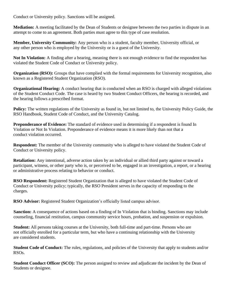Conduct or University policy. Sanctions will be assigned.

**Mediation:** A meeting facilitated by the Dean of Students or designee between the two parties in dispute in an attempt to come to an agreement. Both parties must agree to this type of case resolution.

**Member, University Community:** Any person who is a student, faculty member, University official, or any other person who is employed by the University or is a guest of the University.

**Not In Violation:** A finding after a hearing, meaning there is not enough evidence to find the respondent has violated the Student Code of Conduct or University policy.

**Organization (RSO):** Groups that have complied with the formal requirements for University recognition, also known as a Registered Student Organization (RSO).

**Organizational Hearing:** A conduct hearing that is conducted when an RSO is charged with alleged violations of the Student Conduct Code. The case is heard by two Student Conduct Officers, the hearing is recorded, and the hearing follows a prescribed format.

**Policy:** The written regulations of the University as found in, but not limited to, the University Policy Guide, the RSO Handbook, Student Code of Conduct, and the University Catalog.

**Preponderance of Evidence:** The standard of evidence used in determining if a respondent is found In Violation or Not In Violation. Preponderance of evidence means it is more likely than not that a conduct violation occurred.

**Respondent:** The member of the University community who is alleged to have violated the Student Code of Conduct or University policy.

**Retaliation:** Any intentional, adverse action taken by an individual or allied third party against or toward a participant, witness, or other party who is, or perceived to be, engaged in an investigation, a report, or a hearing or administrative process relating to behavior or conduct.

**RSO Respondent:** Registered Student Organization that is alleged to have violated the Student Code of Conduct or University policy; typically, the RSO President serves in the capacity of responding to the charges.

**RSO Advisor:** Registered Student Organization's officially listed campus advisor.

**Sanction:** A consequence of actions based on a finding of In Violation that is binding. Sanctions may include counseling, financial restitution, campus community service hours, probation, and suspension or expulsion.

**Student:** All persons taking courses at the University, both full-time and part-time. Persons who are not officially enrolled for a particular term, but who have a continuing relationship with the University are considered students.

**Student Code of Conduct:** The rules, regulations, and policies of the University that apply to students and/or RSOs.

**Student Conduct Officer (SCO):** The person assigned to review and adjudicate the incident by the Dean of Students or designee.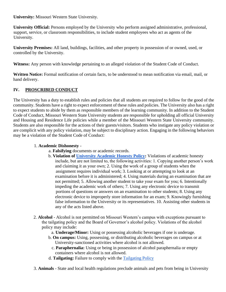**University:** Missouri Western State University.

**University Official:** Persons employed by the University who perform assigned administrative, professional, support, service, or classroom responsibilities, to include student employees who act as agents of the University.

**University Premises:** All land, buildings, facilities, and other property in possession of or owned, used, or controlled by the University.

**Witness:** Any person with knowledge pertaining to an alleged violation of the Student Code of Conduct.

**Written Notice:** Formal notification of certain facts, to be understood to mean notification via email, mail, or hand delivery.

## **IV. PROSCRIBED CONDUCT**

The University has a duty to establish rules and policies that all students are required to follow for the good of the community. Students have a right to expect enforcement of these rules and policies. The University also has a right to expect students to abide by them as responsible members of the learning community. In addition to the Student Code of Conduct, Missouri Western State University students are responsible for upholding all official University and Housing and Residence Life policies while a member of the Missouri Western State University community. Students are also responsible for the actions of their guests/visitors. Students who instigate any policy violation or are complicit with any policy violation, may be subject to disciplinary action. Engaging in the following behaviors may be a violation of the Student Code of Conduct:

#### 1. **Academic Dishonesty** -

- a. **Falsifying** documents or academic records.
- b. **Violation of University Academic Honesty Policy:** Violations of academic honesty include, but are not limited to, the following activities: 1. Copying another person's work and claiming it as your own; 2. Using the work of a group of students when the assignment requires individual work; 3. Looking at or attempting to look at an examination before it is administered; 4. Using materials during an examination that are not permitted; 5. Allowing another student to take your exam for you; 6. Intentionally impeding the academic work of others; 7. Using any electronic device to transmit portions of questions or answers on an examination to other students; 8. Using any electronic device to improperly store information for an exam; 9. Knowingly furnishing false information to the University or its representatives. 10. Assisting other students in any of the acts listed above.
- 2. **Alcohol**  Alcohol is not permitted on Missouri Western's campus with exceptions pursuant to the tailgating policy and the Board of Governor's alcohol policy. Violations of the alcohol policy may include:
	- a. **Underage/Minor:** Using or possessing alcoholic beverages if one is underage.
	- b. **On campus:** Using, possessing, or distributing alcoholic beverages on campus or at University-sanctioned activities where alcohol is not allowed.
		- c. **Paraphernalia:** Using or being in possession of alcohol paraphernalia or empty containers where alcohol is not allowed.
	- d. **Tailgating:** Failure to comply with the Tailgating Policy
- 3. **Animals**  State and local health regulations preclude animals and pets from being in University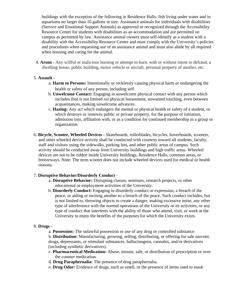buildings with the exception of the following in Residence Halls: fish living under water and in aquariums no larger than 10 gallons in size. Assistance animals for individuals with disabilities (Service and Emotional Support Animals) as approved or recognized through the Accessibility Resource Center for students with disabilities as an accommodation and are permitted on campus as permitted by law. Assistance animal owners must self-identify as a student with a disability with the Accessibility Resource Center and must comply with the University's policies and procedures when requesting use of an assistance animal and must also abide by all required when housing and caring for the animal.

4. **Arson** - Any willful or malicious burning or attempt to burn, with or without intent to defraud, a dwelling house, public building, motor vehicle or aircraft, personal property of another, etc.

#### 5. **Assault** -

- a. **Harm to Persons:** Intentionally or recklessly causing physical harm or endangering the health or safety of any person, including self.
- b. **Unwelcome Contact:** Engaging in unwelcome physical contact with any person which includes (but is not limited to) physical harassment, unwanted touching, even between acquaintances, making unwelcome advances.
- c. **Hazing:** Any act which endangers the mental or physical health or safety of a student, or which destroys or removes public or private property, for the purpose of initiation, admission into, affiliation with, or as a condition for continued membership in a group or organization.
- 6. **Bicycle, Scooter, Wheeled Devices -** Skateboards, rollerblades, bicycles, hoverboards, scooters, and other wheeled device activity shall be conducted with courtesy toward all students, faculty, staff and visitors using the sidewalks, parking lots, and other public areas of campus. Such activity should be conducted away from University buildings and high traffic areas. Wheeled devices are not to be ridden inside University buildings, Residence Halls, common areas, or breezeways. Note: The term scooter does not include wheeled devices used for medical or health reasons.

## 7. **Disruptive Behavior/Disorderly Conduct** -

- a. **Disruptive Behavior:** Disrupting classes, seminars, research projects, or other educational or employment activities of the University.
- b. **Disorderly Conduct:** Engaging in disorderly conduct or expression, a breach of the peace, or aiding or inciting another to a breach of the peace. Such conduct includes, but is not limited to, throwing objects to create a danger, making excessive noise, any other type of interference with the normal operations of the University or its activities, or any type of conduct that interferes with the ability of those who attend, visit, or work at the University to enjoy the benefits of the purposes for which the University exists.

## 8. **Drugs** -

a. **Possession:** The unlawful possession or use of any drug or controlled substance.

b. **Distribution:** Manufacturing, growing, selling, distributing, or offering for sale narcotic drugs, depressants, or stimulant substances, hallucinogens, cannabis, and/or derivatives (including synthetic derivatives).

- c. **Pharmaceutical Medication:** Abuse, misuse, sale, or distribution of prescription or over the counter medication.
- d. **Drug Paraphernalia:** The presence of drug paraphernalia.
- e. **Drug Odor:** Evidence of drugs, such as smell, or the presence of items used to mask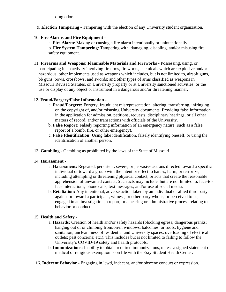drug odors.

9. **Election Tampering** - Tampering with the election of any University student organization.

## 10. **Fire Alarms and Fire Equipment** -

a. **Fire Alarm**: Making or causing a fire alarm intentionally or unintentionally. b. **Fire System Tampering**: Tampering with, damaging, disabling, and/or misusing fire safety equipment.

11. **Firearms and Weapons; Flammable Materials and Fireworks** - Possessing, using, or participating in an activity involving firearms, fireworks, chemicals which are explosive and/or hazardous, other implements used as weapons which includes, but is not limited to, airsoft guns, bb guns, bows, crossbows, and swords; and other types of arms classified as weapons in Missouri Revised Statutes, on University property or at University sanctioned activities; or the use or display of any object or instrument in a dangerous and/or threatening manner.

## **12. Fraud/Forgery/False Information -**

- a. **Fraud/Forgery:** Forgery, fraudulent misrepresentation, altering, transferring, infringing on the copyright of, and/or misusing University documents. Providing false information in the application for admission, petitions, requests, disciplinary hearings, or all other matters of record, and/or transactions with officials of the University.
- b. **False Report:** Falsely reporting information of an emergency nature (such as a false report of a bomb, fire, or other emergency).
- c. **False Identification:** Using fake identification, falsely identifying oneself, or using the identification of another person.
- 13. **Gambling**  Gambling as prohibited by the laws of the State of Missouri.

## 14. **Harassment** -

- a. **Harassment:** Repeated, persistent, severe, or pervasive actions directed toward a specific individual or toward a group with the intent or effect to harass, harm, or terrorize, including attempting or threatening physical contact, or acts that create the reasonable apprehension of unwanted contact. Such acts may include, but are not limited to, face-toface interactions, phone calls, text messages, and/or use of social media.
- b. **Retaliation:** Any intentional, adverse action taken by an individual or allied third party against or toward a participant, witness, or other party who is, or perceived to be, engaged in an investigation, a report, or a hearing or administrative process relating to behavior or conduct.

# 15. **Health and Safety -**

- a. **Hazards:** Creation of health and/or safety hazards (blocking egress; dangerous pranks; hanging out of or climbing from/on/in windows, balconies, or roofs; hygiene and sanitation; uncleanliness of residential and University spaces; overloading of electrical outlets; pest concerns; etc.). This includes but is not limited to failing to follow the University's COVID-19 safety and health protocols.
- b. **Immunizations:** Inability to obtain required immunizations, unless a signed statement of medical or religious exemption is on file with the Esry Student Health Center.
- 16. **Indecent Behavior** Engaging in lewd, indecent, and/or obscene conduct or expression.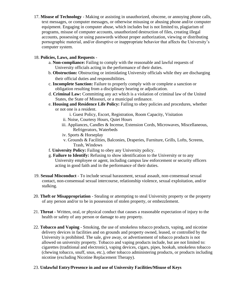17. **Misuse of Technology** - Making or assisting in unauthorized, obscene, or annoying phone calls, text messages, or computer messages, or otherwise misusing or abusing phone and/or computer equipment. Engaging in computer abuse, which includes but is not limited to, plagiarism of programs, misuse of computer accounts, unauthorized destruction of files, creating illegal accounts, possessing or using passwords without proper authorization, viewing or distributing pornographic material, and/or disruptive or inappropriate behavior that affects the University's computer system.

## 18. **Policies, Laws, and Requests** -

- a. **Non-compliance:** Failing to comply with the reasonable and lawful requests of University officials acting in the performance of their duties.
- b. **Obstruction:** Obstructing or intimidating University officials while they are discharging their official duties and responsibilities.
- c. **Incomplete Sanction:** Failure to properly comply with or complete a sanction or obligation resulting from a disciplinary hearing or adjudication.
- d. **Criminal Law:** Committing any act which is a violation of criminal law of the United States, the State of Missouri, or a municipal ordinance.
- e. **Housing and Residence Life Policy:** Failing to obey policies and procedures, whether or not one is a resident.
	- i. Guest Policy, Escort, Registration, Room Capacity, Visitation
	- ii. Noise, Courtesy Hours, Quiet Hours
	- iii. Appliances, Candles & Incense, Extension Cords, Microwaves, Miscellaneous, Refrigerators, Waterbeds
	- iv. Sports & Horseplay
	- v. Grounds & Facilities, Balconies, Draperies, Furniture, Grills, Lofts, Screens, Trash, Windows
- f. **University Policy:** Failing to obey any University policy.
- g. **Failure to Identify:** Refusing to show identification to the University or to any University employee or agent, including campus law enforcement or security officers acting in good faith and in the performance of their duties.
- 19. **Sexual Misconduct**  To include sexual harassment, sexual assault, non-consensual sexual contact, non-consensual sexual intercourse, relationship violence, sexual exploitation, and/or stalking.
- 20. **Theft or Misappropriation** Stealing or attempting to steal University property or the property of any person and/or to be in possession of stolen property, or embezzlement.
- 21. **Threat**  Written, oral, or physical conduct that causes a reasonable expectation of injury to the health or safety of any person or damage to any property.
- 22. **Tobacco and Vaping**  Smoking, the use of smokeless tobacco products, vaping, and nicotine delivery devices in facilities and on grounds and property owned, leased, or controlled by the University is prohibited. The sale, give away, or advertisement of tobacco products is not allowed on university property. Tobacco and vaping products include, but are not limited to: cigarettes (traditional and electronic), vaping devices, cigars, pipes, hookah, smokeless tobacco (chewing tobacco, snuff, snus, etc.), other tobacco administering products, or products including nicotine (excluding Nicotine Replacement Therapy).

## 23. **Unlawful Entry/Presence in and use of University Facilities/Misuse of Keys**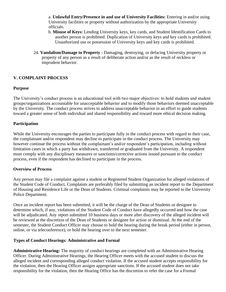a. **Unlawful Entry/Presence in and use of University Facilities:** Entering in and/or using University facilities or property without authorization by the appropriate University officials.

- b. **Misuse of Keys:** Lending University keys, key cards, and Student Identification Cards to another person is prohibited. Duplication of University keys and key cards is prohibited. Unauthorized use or possession of University keys and key cards is prohibited.
- 24. **Vandalism/Damage to Property** Damaging, destroying, or defacing University property or property of any person as a result of deliberate action and/or as the result of reckless or imprudent behavior.

## **V. COMPLAINT PROCESS**

## **Purpose**

The University's conduct process is an educational tool with two major objectives: to hold students and student groups/organizations accountable for unacceptable behavior and to modify those behaviors deemed unacceptable by the University. The conduct process strives to address unacceptable behavior in an effort to guide students toward a greater sense of both individual and shared responsibility and toward more ethical decision making.

## **Participation**

While the University encourages the parties to participate fully in the conduct process with regard to their case, the complainant and/or respondent may decline to participate in the conduct process. The University may however continue the process without the complainant's and/or respondent's participation, including without limitation cases in which a party has withdrawn, transferred or graduated from the University. A respondent must comply with any disciplinary measures or sanctions/corrective actions issued pursuant to the conduct process, even if the respondent has declined to participate in the process.

## **Overview of Process**

Any person may file a complaint against a student or Registered Student Organization for alleged violations of the Student Code of Conduct. Complaints are preferably filed by submitting an incident report to the Department of Housing and Residence Life or the Dean of Students. Criminal complaints may be reported to the University Police Department.

Once an incident report has been submitted, it will be the charge of the Dean of Students or designee to determine which, if any, violations of the Student Code of Conduct have allegedly occurred and how the case will be adjudicated. Any report submitted 10 business days or more after discovery of the alleged incident will be reviewed at the discretion of the Dean of Students or designee for action or dismissal. At the end of the semester, the Student Conduct Officer may choose to hold the hearing during the break period (either in person, online, or via teleconference), or hold the hearing over to the next semester.

## **Types of Conduct Hearings: Administrative and Formal**

**Administrative Hearing:** The majority of conduct hearings are completed with an Administrative Hearing Officer. During Administrative Hearings, the Hearing Officer meets with the accused student to discuss the alleged incident and corresponding alleged conduct violation. If the accused student accepts responsibility for the violation, then the Hearing Officer assigns appropriate sanctions. If the accused student does not take responsibility for the violation, then the Hearing Office has the discretion to refer the case for a Formal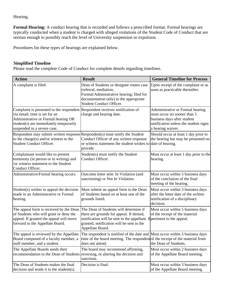Hearing.

**Formal Hearing:** A conduct hearing that is recorded and follows a prescribed format. Formal hearings are typically conducted when a student is charged with alleged violations of the Student Code of Conduct that are serious enough to possibly reach the level of University suspension or expulsion.

Procedures for these types of hearings are explained below.

#### **Simplified Timeline**

Please read the complete Code of Conduct for complete details regarding timelines.

| <b>Action</b>                                                                                                                                                                                                                 | <b>Result</b>                                                                                                                                                                                                                  | <b>General Timeline for Process</b>                                                                                                                          |
|-------------------------------------------------------------------------------------------------------------------------------------------------------------------------------------------------------------------------------|--------------------------------------------------------------------------------------------------------------------------------------------------------------------------------------------------------------------------------|--------------------------------------------------------------------------------------------------------------------------------------------------------------|
| A complaint is filed.                                                                                                                                                                                                         | Dean of Students or designee routes case<br>(referral, mediation,<br>Formal/Administrative hearing; filed for<br>documentation only) to the appropriate<br>Student Conduct Officer.                                            | Upon receipt of the complaint or as<br>soon as practicable thereafter.                                                                                       |
| Complaint is presented to the respondent Respondent receives notification of<br>via email; time is set for an<br>Administrative or Formal hearing OR<br>student(s) are immediately temporarily<br>suspended in a severe case. | charge and hearing date.                                                                                                                                                                                                       | Administrative or Formal hearing<br>must occur no sooner than 3<br>business days after student<br>notification unless the student signs<br>a hearing waiver. |
| Respondent may submit written response Respondent(s) must notify the Student<br>to the charge(s) and/or witness to the<br>Student Conduct Officer.                                                                            | Conduct Officer of any written response<br>or witness statement the student wishes to date of hearing.<br>provide.                                                                                                             | Should occur at least 1 day prior to<br>the hearing but may be presented on                                                                                  |
| Complainant would like to present<br>testimony (in person or in writing) and<br>or witness statement to the Student<br>Conduct Officer.                                                                                       | Student(s) must notify the Student<br>Conduct Officer.                                                                                                                                                                         | Must occur at least 1 day prior to the<br>hearing.                                                                                                           |
| Administrative/Formal hearing occurs.                                                                                                                                                                                         | Outcome letter sent: In Violation (and<br>sanctioning) or Not In Violation.                                                                                                                                                    | Must occur within 5 business days<br>of the conclusion of the final<br>meeting of the hearing.                                                               |
| Student(s) wishes to appeal the decision<br>made in an Administrative or Formal<br>hearing.                                                                                                                                   | Must submit an appeal form to the Dean<br>of Students based on at least one of the<br>grounds listed.                                                                                                                          | Must occur within 3 business days<br>after the letter date of the written<br>notification of a disciplinary<br>decision.                                     |
| The appeal form is received by the Dean<br>of Students who will grant or deny the<br>appeal. If granted the appeal will move<br>forward to the Appellate Board.                                                               | The Dean of Students will determine if<br>there are grounds for appeal. If denied,<br>notification will be sent to the appellant. If pertinent to the appeal.<br>granted, notification will be sent to the<br>Appellate Board. | Must occur within 5 business days<br>of the receipt of the material                                                                                          |
| The appeal is reviewed by the Appellate<br>Board composed of a faculty member, a<br>staff member, and a student.                                                                                                              | The respondent is notified of the date and Must occur within 5 business days<br>time of the board meeting. The respondent of the receipt of the material from<br>does not attend.                                              | the Dean of Students.                                                                                                                                        |
| The Appellate Boards sends their<br>recommendation to the Dean of Students reversing, or altering the decision and                                                                                                            | The board may recommend affirming,<br>sanctions.                                                                                                                                                                               | Must occur within 2 business days<br>of the Appellate Board meeting.                                                                                         |
| The Dean of Students makes the final<br>decision and sends it to the student(s).                                                                                                                                              | Decision is final.                                                                                                                                                                                                             | Must occur within 3 business days<br>of the Appellate Board meeting.                                                                                         |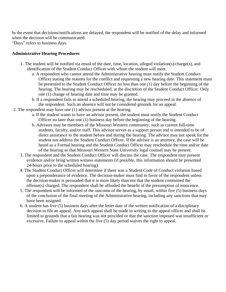In the event that decisions/notifications are delayed, the respondent will be notified of the delay and informed when the decision will be communicated.

"Days" refers to business days.

#### **Administrative Hearing Procedures**

- 1. The student will be notified via email of the date, time, location, alleged violation(s)/charge(s), and identification of the Student Conduct Officer with whom the student will meet.
	- a. A respondent who cannot attend the Administrative hearing must notify the Student Conduct Officer stating the reasons for the conflict and requesting a new hearing date. This statement must be presented to the Student Conduct Officer no less than one (1) day before the beginning of the hearing. The hearing may be rescheduled, at the discretion of the Student Conduct Officer. Only one (1) change of hearing date and time may be granted.
	- b. If a respondent fails to attend a scheduled hearing, the hearing may proceed in the absence of the respondent. Such an absence will not be considered grounds for an appeal.
- 2. The respondent may have one (1) advisor present at the hearing.
	- a. If the student wants to have an advisor present, the student must notify the Student Conduct Officer no later than one (1) business day before the beginning of the hearing.
	- b. Advisors may be members of the Missouri Western community, such as current full-time students, faculty, and/or staff. This advisor serves as a support person and is intended to be of direct assistance to the student before and during the hearing. The advisor may not speak for the student nor address the Student Conduct Officer. If the advisor is an attorney, the case will be heard as a Formal hearing and the Student Conduct Officer may reschedule the time and/or date of the hearing so that Missouri Western State University legal counsel may be present.
	- 3. The respondent and the Student Conduct Officer will discuss the case. The respondent may present evidence and/or bring written witness statements (if possible, this information should be presented 24-hours prior to the scheduled hearing).
	- 4. The Student Conduct Officer will determine if there was a Student Code of Conduct violation based upon a preponderance of evidence. The decision-maker must find in favor of the respondent unless the decision-maker is persuaded that it is more likely than not that the student committed the offense(s) charged. The respondent shall be afforded the benefit of the presumption of innocence.
	- 5. The respondent will be informed of the outcome of the hearing, by email, within five (5) business days of the conclusion of the final meeting of the Administrative hearing, including any sanctions that may have been assigned.
	- 6. A student has five (5) business days after the letter date of the written notification of a disciplinary decision to file an appeal. Any such appeal shall be made in writing to the appeal officer and shall be limited to grounds that a fair hearing was not provided or that the sanction imposed was insufficient or excessive. Failure to appeal within the five (5) day period waives the right to appeal.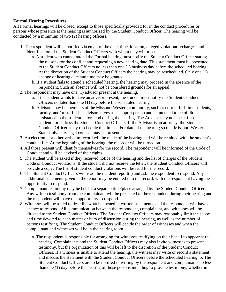## **Formal Hearing Procedures**

All Formal hearings will be closed, except to those specifically provided for in the conduct procedures or persons whose presence at the hearing is authorized by the Student Conduct Officer. The hearing will be conducted by a minimum of two (2) hearing officers.

- 1. The respondent will be notified via email of the date, time, location, alleged violation(s)/charges, and identification of the Student Conduct Officers with whom they will meet.
	- a. A student who cannot attend the Formal hearing must notify the Student Conduct Officer stating the reasons for the conflict and requesting a new hearing date. This statement must be presented to the Student Conduct Officers no less than one (1) business day before the scheduled hearing. At the discretion of the Student Conduct Officers the hearing may be rescheduled. Only one (1) change of hearing date and time may be granted.
	- b. If a student fails to attend a scheduled hearing, the hearing may proceed in the absence of the respondent. Such an absence will not be considered grounds for an appeal.
- 2. The respondent may have one (1) advisor present at the hearing.
	- a. If the student wants to have an advisor present, the student must notify the Student Conduct Officers no later than one (1) day before the scheduled hearing.
	- b. Advisors may be members of the Missouri Western community, such as current full-time students, faculty, and/or staff. This advisor serves as a support person and is intended to be of direct assistance to the student before and during the hearing. The Advisor may not speak for the student nor address the Student Conduct Officers. If the Advisor is an attorney, the Student Conduct Officers may reschedule the time and/or date of the hearing so that Missouri Western State University legal counsel may be present.
- 3. An electronic or other verbatim record will be made of the hearing and will be retained with the student's conduct file. At the beginning of the hearing, the recorder will be turned on.
- 4. All those present will identify themselves for the record. The respondent will be informed of the Code of Conduct and will be advised of their rights.
- 5. The student will be asked if they received notice of the hearing and the list of charges of the Student Code of Conduct violations. If the student did not receive the letter, the Student Conduct Officers will provide a copy. The list of student conduct violations will be read for the record.
- 6. The Student Conduct Officers will read the incident report(s) and ask the respondent to respond. Any additional statements given in the report may be entered into the record, with the respondent having the opportunity to respond.
- 7. Complainant testimony may be held at a separate time/place arranged by the Student Conduct Officers. Any written testimony from the complainant will be presented to the respondent during their hearing and the respondent will have the opportunity to respond.
- 8. Witnesses will be asked to describe what happened in written statements, and the respondent will have a chance to respond. All communication between the respondent, complainant, and witnesses will be directed to the Student Conduct Officers. The Student Conduct Officers may reasonably limit the scope and time devoted to each matter or item of discussion during the hearing, as well as the number of persons testifying. The Student Conduct Officers will decide the order of witnesses and when the complainant and witnesses will be in the hearing room.
	- a. The respondent is responsible for arranging for witnesses testifying on their behalf to appear at the hearing. Complainants and the Student Conduct Officers may also invite witnesses to present testimony, but the organization of this will be left to the discretion of the Student Conduct Officers. If a witness is unable to attend the hearing, the witness may write or record a statement and discuss the statement with the Student Conduct Officers before the scheduled hearing. b. The Student Conduct Officers are to be notified in writing by the respondent and complainants no less than one (1) day before the hearing of those persons intending to provide testimony, whether in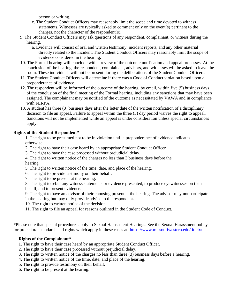person or writing.

- c. The Student Conduct Officers may reasonably limit the scope and time devoted to witness statements. Witnesses are typically asked to comment only on the event(s) pertinent to the charges, not the character of the respondent(s).
- 9. The Student Conduct Officers may ask questions of any respondent, complainant, or witness during the hearing.
	- a. Evidence will consist of oral and written testimony, incident reports, and any other material directly related to the incident. The Student Conduct Officers may reasonably limit the scope of evidence considered in the hearing.
- 10. The Formal hearing will conclude with a review of the outcome notification and appeal processes. At the conclusion of the hearing, the respondent, complainant, advisors, and witnesses will be asked to leave the room. These individuals will not be present during the deliberations of the Student Conduct Officers.
- 11. The Student Conduct Officers will determine if there was a Code of Conduct violation based upon a preponderance of evidence.
- 12. The respondent will be informed of the outcome of the hearing, by email, within five (5) business days of the conclusion of the final meeting of the Formal hearing, including any sanctions that may have been assigned. The complainant may be notified of the outcome as necessitated by VAWA and in compliance with FERPA.
- 13. A student has three (3) business days after the letter date of the written notification of a disciplinary decision to file an appeal. Failure to appeal within the three (3) day period waives the right to appeal. Sanctions will not be implemented while an appeal is under consideration unless special circumstances apply.

# **Rights of the Student Respondent\***

1. The right to be presumed not to be in violation until a preponderance of evidence indicates otherwise.

- 2. The right to have their case heard by an appropriate Student Conduct Officer.
- 3. The right to have the case processed without prejudicial delay.

4. The right to written notice of the charges no less than 3 business days before the hearing.

- 5. The right to written notice of the time, date, and place of the hearing.
- 6. The right to provide testimony on their behalf.
- 7. The right to be present at the hearing.

8. The right to rebut any witness statements or evidence presented, to produce eyewitnesses on their behalf, and to present evidence.

9. The right to have an advisor of their choosing present at the hearing. The advisor may not participate in the hearing but may only provide advice to the respondent.

10. The right to written notice of the decision.

11. The right to file an appeal for reasons outlined in the Student Code of Conduct.

\*Please note that special procedures apply to Sexual Harassment Hearings. See the Sexual Harassment policy for procedural standards and rights which apply in these cases at: https://www.missouriwestern.edu/titleix/

# **Rights of the Complainant\***

- 1. The right to have their case heard by an appropriate Student Conduct Officer.
- 2. The right to have their case processed without prejudicial delay.
- 3. The right to written notice of the charges no less than three (3) business days before a hearing.
- 4. The right to written notice of the time, date, and place of the hearing.
- 5. The right to provide testimony on their behalf.
- 6. The right to be present at the hearing.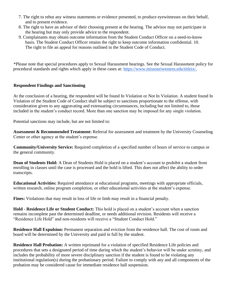- 7. The right to rebut any witness statements or evidence presented, to produce eyewitnesses on their behalf, and to present evidence.
- 8. The right to have an advisor of their choosing present at the hearing. The advisor may not participate in the hearing but may only provide advice to the respondent.
- 9. Complainants may obtain outcome information from the Student Conduct Officer on a need-to-know basis. The Student Conduct Officer retains the right to keep outcome information confidential. 10. The right to file an appeal for reasons outlined in the Student Code of Conduct.

\*Please note that special procedures apply to Sexual Harassment hearings. See the Sexual Harassment policy for procedural standards and rights which apply in these cases at: https://www.missouriwestern.edu/titleix/.

## **Respondent Findings and Sanctioning**

At the conclusion of a hearing, the respondent will be found In Violation or Not In Violation. A student found In Violation of the Student Code of Conduct shall be subject to sanctions proportionate to the offense, with consideration given to any aggravating and extenuating circumstances, including but not limited to, those included in the student's conduct record. More than one sanction may be imposed for any single violation.

Potential sanctions may include, but are not limited to:

**Assessment & Recommended Treatment:** Referral for assessment and treatment by the University Counseling Center or other agency at the student's expense.

**Community/University Service:** Required completion of a specified number of hours of service to campus or the general community.

**Dean of Students Hold:** A Dean of Students Hold is placed on a student's account to prohibit a student from enrolling in classes until the case is processed and the hold is lifted. This does not affect the ability to order transcripts.

**Educational Activities:** Required attendance at educational programs, meetings with appropriate officials, written research, online program completion, or other educational activities at the student's expense.

**Fines:** Violations that may result in loss of life or limb may result in a financial penalty.

**Hold - Residence Life or Student Conduct:** This hold is placed on a student's account when a sanction remains incomplete past the determined deadline, or needs additional revision. Residents will receive a "Residence Life Hold" and non-residents will receive a "Student Conduct Hold."

**Residence Hall Expulsion:** Permanent separation and eviction from the residence hall. The cost of room and board will be determined by the University and paid in full by the student.

**Residence Hall Probation:** A written reprimand for a violation of specified Residence Life policies and procedures that sets a designated period of time during which the student's behavior will be under scrutiny, and includes the probability of more severe disciplinary sanction if the student is found to be violating any institutional regulation(s) during the probationary period. Failure to comply with any and all components of the probation may be considered cause for immediate residence hall suspension.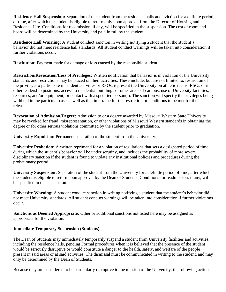**Residence Hall Suspension:** Separation of the student from the residence halls and eviction for a definite period of time, after which the student is eligible to return only upon approval from the Director of Housing and Residence Life. Conditions for readmission, if any, will be specified in the suspension. The cost of room and board will be determined by the University and paid in full by the student.

**Residence Hall Warning:** A student conduct sanction in writing notifying a student that the student's behavior did not meet residence hall standards. All student conduct warnings will be taken into consideration if further violations occur.

**Restitution:** Payment made for damage or loss caused by the responsible student.

**Restriction/Revocation/Loss of Privileges:** Written notification that behavior is in violation of the University standards and restrictions may be placed on their activities. These include, but are not limited to, restriction of the privilege to participate in student activities or RSOs, represent the University on athletic teams, RSOs or in other leadership positions; access to residential buildings or other areas of campus; use of University facilities, resources, and/or equipment; or contact with a specified person(s). The sanction will specify the privileges being withheld in the particular case as well as the timeframe for the restriction or conditions to be met for their release.

**Revocation of Admission/Degree:** Admission to or a degree awarded by Missouri Western State University may be revoked for fraud, misrepresentation, or other violations of Missouri Western standards in obtaining the degree or for other serious violations committed by the student prior to graduation.

**University Expulsion:** Permanent separation of the student from the University.

**University Probation:** A written reprimand for a violation of regulations that sets a designated period of time during which the student's behavior will be under scrutiny, and includes the probability of more severe disciplinary sanction if the student is found to violate any institutional policies and procedures during the probationary period.

**University Suspension:** Separation of the student from the University for a definite period of time, after which the student is eligible to return upon approval by the Dean of Students. Conditions for readmission, if any, will be specified in the suspension.

**University Warning:** A student conduct sanction in writing notifying a student that the student's behavior did not meet University standards. All student conduct warnings will be taken into consideration if further violations occur.

**Sanctions as Deemed Appropriate:** Other or additional sanctions not listed here may be assigned as appropriate for the violation.

## **Immediate Temporary Suspension (Students)**

The Dean of Students may immediately temporarily suspend a student from University facilities and activities, including the residence halls, pending Formal procedures when it is believed that the presence of the student would be seriously disruptive or would constitute a danger to the health, safety, and welfare of the people present in said areas or at said activities. The dismissal must be communicated in writing to the student, and may only be determined by the Dean of Students.

Because they are considered to be particularly disruptive to the mission of the University, the following actions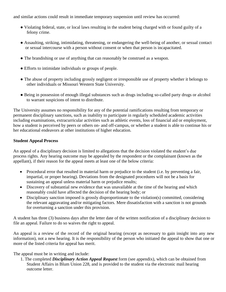and similar actions could result in immediate temporary suspension until review has occurred:

- Violating federal, state, or local laws resulting in the student being charged with or found guilty of a felony crime.
- Assaulting, striking, intimidating, threatening, or endangering the well-being of another, or sexual contact or sexual intercourse with a person without consent or when that person is incapacitated.
- The brandishing or use of anything that can reasonably be construed as a weapon.
- Efforts to intimidate individuals or groups of people.
- The abuse of property including grossly negligent or irresponsible use of property whether it belongs to other individuals or Missouri Western State University.
- Being in possession of enough illegal substances such as drugs including so-called party drugs or alcohol to warrant suspicions of intent to distribute.

The University assumes no responsibility for any of the potential ramifications resulting from temporary or permanent disciplinary sanctions, such as inability to participate in regularly scheduled academic activities including examinations, extracurricular activities such as athletic events, loss of financial aid or employment, how a student is perceived by peers or others on- and off-campus, or whether a student is able to continue his or her educational endeavors at other institutions of higher education.

## **Student Appeal Process**

An appeal of a disciplinary decision is limited to allegations that the decision violated the student's due process rights. Any hearing outcome may be appealed by the respondent or the complainant (known as the appellant), if their reason for the appeal meets at least one of the below criteria:

- Procedural error that resulted in material harm or prejudice to the student (i.e. by preventing a fair, impartial, or proper hearing). Deviations from the designated procedures will not be a basis for sustaining an appeal unless material harm or prejudice results;
- Discovery of substantial new evidence that was unavailable at the time of the hearing and which reasonably could have affected the decision of the hearing body; or
- Disciplinary sanction imposed is grossly disproportionate to the violation(s) committed, considering the relevant aggravating and/or mitigating factors. Mere dissatisfaction with a sanction is not grounds for overturning a sanction under this provision.

A student has three (3) business days after the letter date of the written notification of a disciplinary decision to file an appeal. Failure to do so waives the right to appeal.

An appeal is a review of the record of the original hearing (except as necessary to gain insight into any new information), not a new hearing. It is the responsibility of the person who initiated the appeal to show that one or more of the listed criteria for appeal has merit.

The appeal must be in writing and include:

1. The completed *Disciplinary Action Appeal Request* form (see appendix), which can be obtained from Student Affairs in Blum Union 228, and is provided to the student via the electronic mail hearing outcome letter.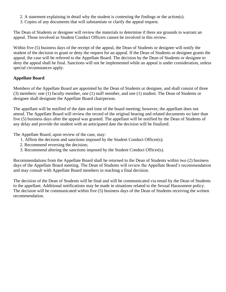- 2. A statement explaining in detail why the student is contesting the findings or the action(s).
- 3. Copies of any documents that will substantiate or clarify the appeal request.

The Dean of Students or designee will review the materials to determine if there are grounds to warrant an appeal. Those involved as Student Conduct Officers cannot be involved in this review.

Within five (5) business days of the receipt of the appeal, the Dean of Students or designee will notify the student of the decision to grant or deny the request for an appeal. If the Dean of Students or designee grants the appeal, the case will be referred to the Appellate Board. The decision by the Dean of Students or designee to deny the appeal shall be final. Sanctions will not be implemented while an appeal is under consideration, unless special circumstances apply.

# **Appellate Board**

Members of the Appellate Board are appointed by the Dean of Students or designee, and shall consist of three (3) members: one (1) faculty member, one (1) staff member, and one (1) student. The Dean of Students or designee shall designate the Appellate Board chairperson.

The appellant will be notified of the date and time of the board meeting; however, the appellant does not attend. The Appellate Board will review the record of the original hearing and related documents no later than five (5) business days after the appeal was granted. The appellant will be notified by the Dean of Students of any delay and provide the student with an anticipated date the decision will be finalized.

The Appellate Board, upon review of the case, may:

- 1. Affirm the decision and sanctions imposed by the Student Conduct Officer(s);
- 2. Recommend reversing the decision;
- 3. Recommend altering the sanctions imposed by the Student Conduct Officer(s).

Recommendations from the Appellate Board shall be returned to the Dean of Students within two (2) business days of the Appellate Board meeting. The Dean of Students will review the Appellate Board's recommendation and may consult with Appellate Board members in reaching a final decision.

The decision of the Dean of Students will be final and will be communicated via email by the Dean of Students to the appellant. Additional notifications may be made in situations related to the Sexual Harassment policy. The decision will be communicated within five (5) business days of the Dean of Students receiving the written recommendation.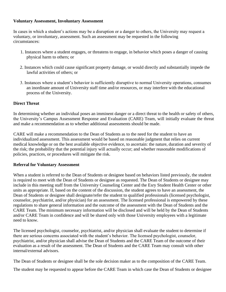## **Voluntary Assessment, Involuntary Assessment**

In cases in which a student's actions may be a disruption or a danger to others, the University may request a voluntary, or involuntary, assessment. Such an assessment may be requested in the following circumstances:

- 1. Instances where a student engages, or threatens to engage, in behavior which poses a danger of causing physical harm to others; or
- 2. Instances which could cause significant property damage, or would directly and substantially impede the lawful activities of others; or
- 3. Instances where a student's behavior is sufficiently disruptive to normal University operations, consumes an inordinate amount of University staff time and/or resources, or may interfere with the educational process of the University.

## **Direct Threat**

In determining whether an individual poses an imminent danger or a direct threat to the health or safety of others, the University's Campus Assessment Response and Evaluation (CARE) Team, will initially evaluate the threat and make a recommendation as to whether additional assessments should be made.

CARE will make a recommendation to the Dean of Students as to the need for the student to have an individualized assessment. This assessment would be based on reasonable judgment that relies on current medical knowledge or on the best available objective evidence, to ascertain: the nature, duration and severity of the risk; the probability that the potential injury will actually occur; and whether reasonable modifications of policies, practices, or procedures will mitigate the risk.

#### **Referral for Voluntary Assessment**

When a student is referred to the Dean of Students or designee based on behaviors listed previously, the student is required to meet with the Dean of Students or designee as requested. The Dean of Students or designee may include in this meeting staff from the University Counseling Center and the Esry Student Health Center or other units as appropriate. If, based on the content of the discussion, the student agrees to have an assessment, the Dean of Students or designee shall designate/refer the student to qualified professionals (licensed psychologist, counselor, psychiatrist, and/or physician) for an assessment. The licensed professional is empowered by these regulations to share general information and the outcome of the assessment with the Dean of Students and the CARE Team. The minimum necessary information will be disclosed and will be held by the Dean of Students and/or CARE Team in confidence and will be shared only with those University employees with a legitimate need to know.

The licensed psychologist, counselor, psychiatrist, and/or physician shall evaluate the student to determine if there are serious concerns associated with the student's behavior. The licensed psychologist, counselor, psychiatrist, and/or physician shall advise the Dean of Students and the CARE Team of the outcome of their evaluation as a result of the assessment. The Dean of Students and the CARE Team may consult with other internal/external advisors.

The Dean of Students or designee shall be the sole decision maker as to the composition of the CARE Team.

The student may be requested to appear before the CARE Team in which case the Dean of Students or designee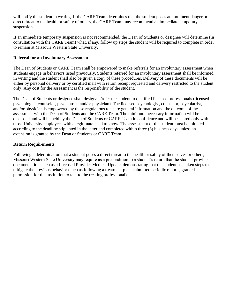will notify the student in writing. If the CARE Team determines that the student poses an imminent danger or a direct threat to the health or safety of others, the CARE Team may recommend an immediate temporary suspension.

If an immediate temporary suspension is not recommended, the Dean of Students or designee will determine (in consultation with the CARE Team) what, if any, follow up steps the student will be required to complete in order to remain at Missouri Western State University.

## **Referral for an Involuntary Assessment**

The Dean of Students or CARE Team shall be empowered to make referrals for an involuntary assessment when students engage in behaviors listed previously. Students referred for an involuntary assessment shall be informed in writing and the student shall also be given a copy of these procedures. Delivery of these documents will be either by personal delivery or by certified mail with return receipt requested and delivery restricted to the student only. Any cost for the assessment is the responsibility of the student.

The Dean of Students or designee shall designate/refer the student to qualified licensed professionals (licensed psychologist, counselor, psychiatrist, and/or physician). The licensed psychologist, counselor, psychiatrist, and/or physician is empowered by these regulations to share general information and the outcome of the assessment with the Dean of Students and the CARE Team. The minimum necessary information will be disclosed and will be held by the Dean of Students or CARE Team in confidence and will be shared only with those University employees with a legitimate need to know. The assessment of the student must be initiated according to the deadline stipulated in the letter and completed within three (3) business days unless an extension is granted by the Dean of Students or CARE Team.

#### **Return Requirements**

Following a determination that a student poses a direct threat to the health or safety of themselves or others, Missouri Western State University may require as a precondition to a student's return that the student provide documentation, such as a Licensed Provider Medical Update, demonstrating that the student has taken steps to mitigate the previous behavior (such as following a treatment plan, submitted periodic reports, granted permission for the institution to talk to the treating professional).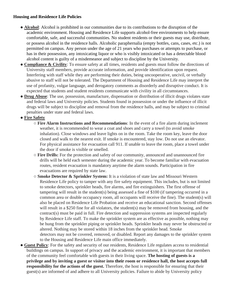## **Housing and Residence Life Policies**

- **Alcohol**: Alcohol is prohibited in our communities due to its contributions to the disruption of the academic environment. Housing and Residence Life supports alcohol-free environments to help ensure comfortable, safe, and successful communities. No student residents or their guests may use, distribute, or possess alcohol in the residence halls. Alcoholic paraphernalia (empty bottles, cans, cases, etc.) is not permitted on campus. Any person under the age of 21 years who purchases or attempts to purchase, or has in their possession, any intoxicating liquor or who is visibly intoxicated or has a detectable blood alcohol content is guilty of a misdemeanor and subject to discipline by the University.
- **Compliance & Civility**: To ensure safety at all times, residents and guests must follow the directions of University staff members, provide accurate information, and provide identification upon request. Interfering with staff while they are performing their duties, being uncooperative, uncivil, or verbally abusive to staff will not be tolerated. The Department of Housing and Residence Life may interpret the use of profanity, vulgar language, and derogatory comments as disorderly and disruptive conduct. It is expected that students and student residents communicate with civility in all circumstances.
- **Drug Abuse**: The use, possession, manufacture, dispensation or distribution of illicit drugs violates state and federal laws and University policies. Students found in possession or under the influence of illicit drugs will be subject to discipline and removal from the residence halls, and may be subject to criminal penalties under state and federal laws.

# ● **Fire Safety**

- **Fire Alarm Instructions and Recommendations**: In the event of a fire alarm during inclement weather, it is recommended to wear a coat and shoes and carry a towel (to avoid smoke inhalation). Close windows and leave lights on in the room. Take the room key, leave the door closed and walk to the nearest exit. If smoke is encountered, stay low. Do not use an elevator. For physical assistance for evacuation call 911. If unable to leave the room, place a towel under the door if smoke is visible or smelled.
- **Fire Drills:** For the protection and safety of our community, announced and unannounced fire drills will be held each semester during the academic year. To become familiar with evacuation routes, resident evacuation is mandatory anytime the alarm sounds. Participation in fire evacuations are required by state law.
- **Smoke Detector & Sprinkler System:** It is a violation of state law and Missouri Western Residence Life policy to tamper with any fire safety equipment. This includes, but is not limited to smoke detectors, sprinkler heads, fire alarms, and fire extinguishers. The first offense of tampering will result in the student(s) being assessed a fine of \$100 (if tampering occurred in a common area or double occupancy room, all occupants will receive the fine). The student(s) will also be placed on Residence Life Probation and receive an educational sanction. Second offenses will result in a \$250 fine for all violators, the student(s) may be removed from housing, and the contract(s) must be paid in full. Fire detection and suppression systems are inspected regularly by Residence Life staff. To make the sprinkler system are as effective as possible, nothing may be hung from the sprinkler piping or sprinkler heads. Sprinkler heads may never be obstructed or altered. Nothing may be stored within 18 inches from the sprinkler head. Smoke detectors may not be covered, removed, or disabled. Report any damages to the sprinkler system to the Housing and Residence Life main office immediately.
- **Guest Policy**: For the safety and security of our residents, Residence Life regulates access to residential buildings on campus. In support of privacy and the academic environment, it is important that members of the community feel comfortable with guests in their living space. **The hosting of guests is a privilege and by inviting a guest or visitor into their room or residence hall, the host accepts full responsibility for the actions of the guest.** Therefore, the host is responsible for ensuring that their guest(s) are informed of and adhere to all University policies. Failure to abide by University policy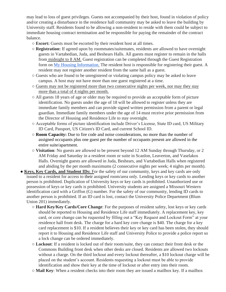may lead to loss of guest privileges. Guests not accompanied by their host, found in violation of policy and/or creating a disturbance in the residence hall community may be asked to leave the building by University staff. Residents found to be allowing a non-resident to reside with them could be subject to immediate housing contract termination and be responsible for paying the remainder of the contract balance.

- **Escort:** Guests must be escorted by their resident host at all times.
- **Registration:** If agreed upon by roommates/suitemates, residents are allowed to have overnight guests in Vartabedian, Juda, and Beshears Halls. All guests must register to remain in the halls from midnight to 8 AM. Guest registration can be completed through the Guest Registration form on My Housing Information. The resident host is responsible for registering their guest. A resident may not register another resident from the same hall as a guest.
- Guests who are found to be unregistered or violating campus policy may be asked to leave campus. A host may not have more than one guest registered at a time.
- Guests may not be registered more than two consecutive nights per week, nor may they stay more than a total of 4 nights per month.
- All guests 18 years of age or older may be required to provide an acceptable form of picture identification. No guests under the age of 18 will be allowed to register unless they are immediate family members and can provide signed written permission from a parent or legal guardian. Immediate family members under the age of 14 must receive prior permission from the Director of Housing and Residence Life to stay overnight.
- Acceptable forms of picture identification include Driver's License, State ID card, US Military ID Card, Passport, US Citizen's ID Card, and current School ID.
- **Room Capacity:** Due to fire code and noise considerations, no more than the number of assigned occupants plus one guest per the number of occupants present are allowed in the entire suite/apartment.
- **Visitation**: No guests are allowed to be present beyond 12 AM Sunday through Thursday, or 2 AM Friday and Saturday in a resident room or suite in Scanlon, Leaverton, and Vaselakos Halls. Overnight guests are allowed in Juda, Beshears, and Vartabedian Halls when registered and abiding by the per month maximums (2 consecutive nights per week; 4 nights per month).
- **Keys, Key Cards, and Student IDs:** For the safety of our community, keys and key cards are only issued to a resident for access to their assigned room/area only. Lending keys or key cards to another person is prohibited. Duplication of University keys or key cards is prohibited. Unauthorized use or possession of keys or key cards is prohibited. University students are assigned a Missouri Western identification card with a Griffon (G) number. For the safety of our community, lending ID cards to another person is prohibited. If an ID card is lost, contact the University Police Department (Blum Union 201) immediately.
	- **Hard Key/Key Cards/Core Change**: For the purposes of resident safety, lost keys or key cards should be reported to Housing and Residence Life staff immediately. A replacement key, key card, or core change can be requested by filling out a "Key Request and Lockout Form" at your residence hall front desk. The charge for a hard key core change is \$40. The charge for a key card replacement is \$10. If a resident believes their key or key card has been stolen, they should report it to Housing and Residence Life staff and University Police to provide a police report so a lock change can be ordered immediately.
	- **Lockout**: If a resident is locked out of their room/suite, they can contact their front desk or the Commons Building front desk when other desks are closed. Residents are allowed two lockouts without a charge. On the third lockout and every lockout thereafter, a \$10 lockout charge will be placed on the student's account. Residents requesting a lockout must be able to provide identification and show their key at the time of lockout or after entry into their room.
	- **Mail Key**: When a resident checks into their room they are issued a mailbox key. If a mailbox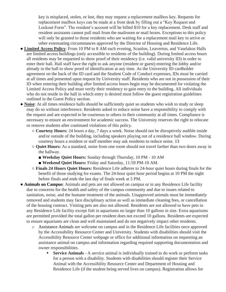key is misplaced, stolen, or lost, they may request a replacement mailbox key. Requests for replacement mailbox keys can be made at a front desk by filling out a "Key Request and Lockout Form". The resident's account will be billed \$10 for a key replacement. Desk staff and resident assistants cannot pull mail from the mailroom or mail boxes. Exceptions to this policy will only be granted to those residents who are waiting for a replacement mail key to arrive or other extenuating circumstances approved by the Director of Housing and Residence Life.

- **Limited Access Policy**: From 10 PM to 8 AM each evening, Scanlon, Leaverton, and Vaselakos Halls are limited access buildings (only accessible to residents of the building). During limited access hours all residents may be requested to show proof of their residency (i.e. valid university ID) in order to enter their hall. Hall staff have the right to ask anyone (resident or guest) entering the lobby and/or already in the hall to show proof of identification at any time. As the University ID cardholder agreement on the back of the ID card and the Student Code of Conduct expresses, IDs must be carried at all times and presented upon request by University staff. Residents who are not in possession of their ID when entering their building after limited access hours begin may be documented for violating the Limited Access Policy and must verify their residency to gain entry to the building. All individuals who do not reside in the hall in which entry is desired must follow the guest registration guidelines outlined in the Guest Policy section.
- **Noise**: At all times residence halls should be sufficiently quiet so students who wish to study or sleep may do so without interference. Residents asked to reduce noise have a responsibility to comply with the request and are expected to be courteous to others in their community at all times. Compliance is necessary to ensure an environment for academic success. The University reserves the right to relocate or remove students after continued violations of this policy.
	- **Courtesy Hours:** 24 hours a day, 7 days a week. Noise should not be disruptively audible inside and/or outside of the building, including speakers playing out of a residence hall window. During courtesy hours a resident or staff member may ask residents to reduce noise. 13
	- **Quiet Hours:** As a standard, noise from one room should not travel farther than two doors away in the hallway.
		- **Weekday Quiet Hours:** Sunday through Thursday, 10 PM 10 AM
		- **Weekend Quiet Hours:** Friday and Saturday, 11:59 PM-10 AM.
	- **Finals 24 Hours Quiet Hours:** Residence Life adheres to 24-hour quiet hours during finals for the benefit of those studying for exams. The 24-hour quiet hour period begins at 10 PM the night before finals and ends the last day of finals week at 5 PM.
- **Animals on Campus**: Animals and pets are not allowed on campus or in any Residence Life facility due to concerns for the health and safety of the campus community and due to issues related to sanitation, noise, and the humane treatment of the animals. Unapproved animals must be immediately removed and students may face disciplinary action as well as immediate cleaning fees, or cancellation of the housing contract. Visiting pets are also not allowed. Residents are not allowed to have pets in any Residence Life facility except fish in aquariums no larger than 10 gallons in size. Extra aquariums are permitted provided the total gallon per resident does not exceed 10 gallons. Residents are expected to ensure aquariums are clean and well maintained and do not negatively impact other residents.
	- o Assistance Animals are welcome on campus and in the Residence Life facilities once approved by the Accessibility Resource Center and University. Students with disabilities should visit the Accessibility Resource Center webpage or office for additional information on requesting an assistance animal on campus and information regarding required supporting documentation and owner responsibilities.
		- **Service Animals** A service animal is individually trained to do work or perform tasks for a person with a disability. Students with disabilities should register their Service Animal with the Accessibility Resource Center and Department of Housing and Residence Life (if the student being served lives on campus). Registration allows for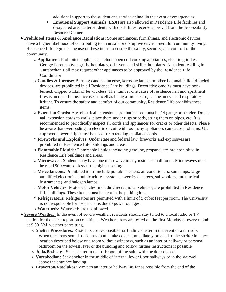additional support to the student and service animal in the event of emergencies.

- **Emotional Support Animals (ESA)** are also allowed in Residence Life facilities and designated areas after students with disabilities receive approval from the Accessibility Resource Center.
- **Prohibited Items & Appliance Regulations**: Some appliances, furnishings, and electronic devices have a higher likelihood of contributing to an unsafe or disruptive environment for community living. Residence Life regulates the use of these items to ensure the safety, security, and comfort of the community.
	- **Appliances:** Prohibited appliances include open coil cooking appliances, electric griddles, George Foreman type grills, hot plates, oil fryers, and skillet hot plates. A student residing in Vartabedian Hall may request other appliances to be approved by the Residence Life Coordinator.
	- **Candles & Incense:** Burning candles, incense, kerosene lamps, or other flammable liquid fueled devices, are prohibited in all Residence Life buildings. Decorative candles must have nonburned, clipped wicks, or be wickless. The number one cause of residence hall and apartment fires is an open flame. Incense, as well as being a fire hazard, can be an eye and respiratory irritant. To ensure the safety and comfort of our community, Residence Life prohibits these items.
	- **Extension Cords:** Any electrical extension cord that is used must be 14 gauge or heavier. Do not nail extension cords to walls, place them under rugs or beds, string them on pipes, etc. It is recommended to periodically inspect all cords and appliances for cracks or other defects. Please be aware that overloading an electric circuit with too many appliances can cause problems. UL approved power strips must be used for extending appliance cords.
	- **Fireworks and Explosives:** Under state and federal law, fireworks and explosives are prohibited in Residence Life buildings and areas.
	- **Flammable Liquids:** Flammable liquids including gasoline, propane, etc. are prohibited in Residence Life buildings and areas.
	- **Microwaves:** Students may have one microwave in any residence hall room. Microwaves must be rated 900 watts or less at the highest setting.
	- **Miscellaneous**: Prohibited items include portable heaters, air conditioners, sun lamps, large amplified electronics (public address systems, oversized stereos, subwoofers, and musical instruments), and halogen lamps.
	- **Motor Vehicles:** Motor vehicles, including recreational vehicles, are prohibited in Residence Life buildings. These items must be kept in the parking lots.
	- **Refrigerators:** Refrigerators are permitted with a limit of 5 cubic feet per room. The University is not responsible for loss of items due to power outages.
	- **Waterbeds:** Waterbeds are not allowed.
- **Severe Weather**: In the event of severe weather, residents should stay tuned to a local radio or TV station for the latest report on conditions. Weather sirens are tested on the first Monday of every month at 9:30 AM, weather permitting.
	- **Shelter Procedures:** Residents are responsible for finding shelter in the event of a tornado. When the sirens sound, residents should take cover. Immediately proceed to the shelter in place location described below or a room without windows, such as an interior hallway or personal bathroom on the lowest level of the building and follow further instructions if possible.
	- **Juda/Beshears:** Seek shelter in the bathroom of the suite with the door closed.
	- **Vartabedian:** Seek shelter in the middle of internal lower floor hallways or in the stairwell above the entrance landing.
	- **Leaverton/Vaselakos:** Move to an interior hallway (as far as possible from the end of the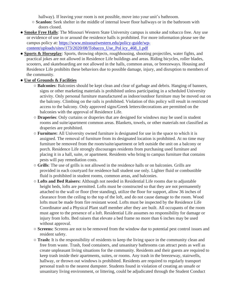hallway). If leaving your room is not possible, move into your unit's bathroom.

- **Scanlon:** Seek shelter in the middle of internal lower floor hallways or in the bathroom with doors closed.
- **Smoke Free Halls**: The Missouri Western State University campus is smoke and tobacco free. Any use or evidence of use in or around the residence halls is prohibited. For more information please see the campus policy at: [https://www.missouriwestern.edu/policy-guide/wp](https://www.missouriwestern.edu/policy-guide/wp-content/uploads/sites/173/2020/08/Tobacco_Use_Pol%20icy_468_1.pdf)[content/uploads/sites/173/2020/08/Tobacco\\_Use\\_Pol icy\\_468\\_1.pdf](https://www.missouriwestern.edu/policy-guide/wp-content/uploads/sites/173/2020/08/Tobacco_Use_Pol%20icy_468_1.pdf)
- **Sports & Horseplay**: Sports, throwing objects, roughhousing, shooting projectiles, water fights, and practical jokes are not allowed in Residence Life buildings and areas. Riding bicycles, roller blades, scooters, and skateboarding are not allowed in the halls, common areas, or breezeways. Housing and Residence Life prohibits these behaviors due to possible damage, injury, and disruption to members of the community.
- **Use of Grounds & Facilities**
	- **Balconies**: Balconies should be kept clean and clear of garbage and debris. Hanging of banners, signs or other marketing materials is prohibited unless participating in a scheduled University activity. Only personal furniture manufactured as indoor/outdoor furniture may be moved out on the balcony. Climbing on the rails is prohibited. Violation of this policy will result in restricted access to the balcony. Only approved signs/Greek letters/decorations are permitted on the balconies with the approval of Residence Life.
	- **Draperies**: Only curtains or draperies that are designed for windows may be used in student rooms and suite/apartment common areas. Blankets, towels, or other materials not classified as draperies are prohibited.
	- **Furniture:** All University owned furniture is designated for use in the space to which it is assigned. The removal of furniture from its designated location is prohibited. At no time may furniture be removed from the room/suite/apartment or left outside the unit on a balcony or porch. Residence Life strongly discourages residents from purchasing used furniture and placing it in a hall, suite, or apartment. Residents who bring to campus furniture that contains pests will pay remediation costs.
	- **Grills**: The use of grills is not allowed in the residence halls or on balconies. Grills are provided in each courtyard for residence hall student use only. Lighter fluid or combustible fluid is prohibited in student rooms, common areas, and balconies.
	- **Lofts and Bed Raisers:** Although not needed in Residential Life rooms due to adjustable height beds, lofts are permitted. Lofts must be constructed so that they are not permanently attached to the wall or floor (free standing), utilize the floor for support, allow 36 inches of clearance from the ceiling to the top of the loft, and do not cause damage to the room. Wood lofts must be made from fire resistant wood. Lofts must be inspected by the Residence Life Coordinator and a Physical Plant staff member after they are built. All occupants of the room must agree to the presence of a loft. Residential Life assumes no responsibility for damage or injury from lofts. Bed raisers that elevate a bed frame no more than 6 inches may be used without approval.
	- **Screens:** Screens are not to be removed from the window due to potential pest control issues and resident safety.
	- **Trash:** It is the responsibility of residents to keep the living space in the community clean and free from waste. Trash, food containers, and unsanitary bathrooms can attract pests as well as create unpleasant living situations for the community. Residents and their guests are required to keep trash inside their apartments, suites, or rooms. Any trash in the breezeway, stairwells, hallway, or thrown out windows is prohibited. Residents are required to regularly transport personal trash to the nearest dumpster. Students found in violation of creating an unsafe or unsanitary living environment, or littering, could be adjudicated through the Student Conduct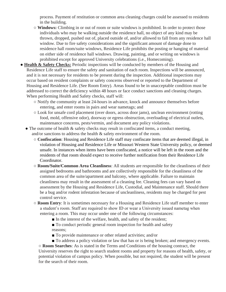process. Payment of restitution or common area cleaning charges could be assessed to residents in the building.

- **Windows:** Climbing in or out of room or suite windows is prohibited. In order to protect those individuals who may be walking outside the residence hall, no object of any kind may be thrown, dropped, pushed out of, placed outside of, and/or allowed to fall from any residence hall window. Due to fire safety considerations and the significant amount of damage done to residence hall room/suite windows, Residence Life prohibits the posting or hanging of material on either side of residence hall windows. Drawing, painting, and or writing on windows is prohibited except for approved University celebrations (i.e., Homecoming).
- **Health & Safety Checks:** Periodic inspections will be conducted by members of the Housing and Residence Life staff to ensure the safety and sanitation of each room. Inspections will be announced, and it is not necessary for residents to be present during the inspection. Additional inspections may occur based on resident complaints or safety concerns observed or reported to the Department of Housing and Residence Life. (See Room Entry). Areas found to be in unacceptable condition must be addressed to correct the deficiency within 48 hours or face conduct sanctions and cleaning charges. When performing Health and Safety checks, staff will:
	- Notify the community at least 24-hours in advance, knock and announce themselves before entering, and enter rooms in pairs and wear nametags; and
	- Look for unsafe cord placement (over doors, across door jams), unclean environment (rotting food, mold, offensive odor), doorway or egress obstruction, overloading of electrical outlets, maintenance concerns, pests/vermin, and document any policy violations.
	- The outcome of health & safety checks may result in confiscated items, a conduct meeting, and/or sanctions to address the health & safety environment of the room.
		- **Confiscation**: Housing and Residence Life staff may confiscate items that are deemed illegal, in violation of Housing and Residence Life or Missouri Western State University policy, or deemed unsafe. In instances when items have been confiscated, a notice will be left in the room and the residents of that room should expect to receive further notification from their Residence Life Coordinator.
		- **Room/Suite/Common Area Cleanliness**: All students are responsible for the cleanliness of their assigned bedrooms and bathrooms and are collectively responsible for the cleanliness of the common area of the suite/apartment and balcony, where applicable. Failure to maintain cleanliness may result in the assessment of a cleaning fee. Cleaning fees can vary based on assessment by the Housing and Residence Life, Custodial, and Maintenance staff. Should there be a bug and/or rodent infestation because of uncleanliness, residents may be charged for pest control service.
		- **Room Entry**: It is sometimes necessary for a Housing and Residence Life staff member to enter a student's room. Staff are required to show ID or wear a University issued nametag when entering a room. This may occur under one of the following circumstances:
			- In the interest of the welfare, health, and safety of the resident;
			- **To conduct periodic general room inspection for health and safety** reasons;
			- **To provide maintenance or other related activities; and/or**
			- **To address a policy violation or law that has or is being broken; and emergency events.**

○ **Room Searches**: As is stated in the Terms and Conditions of the housing contract, the University reserves the right to search student rooms and property for reasons of health, safety, or potential violation of campus policy. When possible, but not required, the student will be present for the search of their room.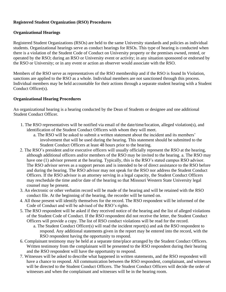## **Registered Student Organization (RSO) Procedures**

## **Organizational Hearings**

Registered Student Organizations (RSOs) are held to the same University standards and policies as individual students. Organizational hearings serve as conduct hearings for RSOs. This type of hearing is conducted when there is a violation of the Student Code of Conduct on University property or the premises owned, rented, or operated by the RSO; during an RSO or University event or activity; in any situation sponsored or endorsed by the RSO or University; or in any event or action an observer would associate with the RSO.

Members of the RSO serve as representatives of the RSO membership and if the RSO is found In Violation, sanctions are applied to the RSO as a whole. Individual members are not sanctioned through this process. Individual members may be held accountable for their actions through a separate student hearing with a Student Conduct Officer(s).

## **Organizational Hearing Procedures**

An organizational hearing is a hearing conducted by the Dean of Students or designee and one additional Student Conduct Officer.

- 1. The RSO representatives will be notified via email of the date/time/location, alleged violation(s), and identification of the Student Conduct Officers with whom they will meet.
	- a. The RSO will be asked to submit a written statement about the incident and its members' involvement that will be used during the hearing. This statement should be submitted to the Student Conduct Officers at least 48 hours prior to the hearing.
- 2. The RSO's president and/or executive officers will usually officially represent the RSO at the hearing, although additional officers and/or members of the RSO may be invited to the hearing. a. The RSO may have one (1) advisor present at the hearing. Typically, this is the RSO's stated campus RSO advisor. The RSO advisor serves as a support person and is intended to be of direct assistance to the RSO before and during the hearing. The RSO advisor may not speak for the RSO nor address the Student Conduct Officers. If the RSO advisor is an attorney serving in a legal capacity, the Student Conduct Officers may reschedule the time and/or date of the hearing so that Missouri Western State University legal counsel may be present.
- 3. An electronic or other verbatim record will be made of the hearing and will be retained with the RSO conduct file. At the beginning of the hearing, the recorder will be turned on.
- 4. All those present will identify themselves for the record. The RSO respondent will be informed of the Code of Conduct and will be advised of the RSO's rights.
- 5. The RSO respondent will be asked if they received notice of the hearing and the list of alleged violations of the Student Code of Conduct. If the RSO respondent did not receive the letter, the Student Conduct Officers will provide a copy. The list of RSO conduct violations will be read for the record.
	- a. The Student Conduct Officer(s) will read the incident report(s) and ask the RSO respondent to respond. Any additional statements given in the report may be entered into the record, with the RSO respondent having the opportunity to respond.
- 6. Complainant testimony may be held at a separate time/place arranged by the Student Conduct Officers. Written testimony from the complainant will be presented to the RSO respondent during their hearing and the RSO respondent will have the opportunity to respond.
- 7. Witnesses will be asked to describe what happened in written statements, and the RSO respondent will have a chance to respond. All communication between the RSO respondent, complainant, and witnesses will be directed to the Student Conduct Officers. The Student Conduct Officers will decide the order of witnesses and when the complainant and witnesses will be in the hearing room.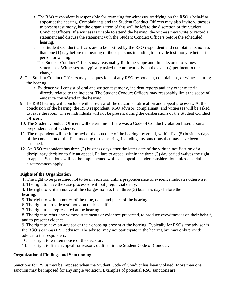- a. The RSO respondent is responsible for arranging for witnesses testifying on the RSO's behalf to appear at the hearing. Complainants and the Student Conduct Officers may also invite witnesses to present testimony, but the organization of this will be left to the discretion of the Student Conduct Officers. If a witness is unable to attend the hearing, the witness may write or record a statement and discuss the statement with the Student Conduct Officers before the scheduled hearing.
- b. The Student Conduct Officers are to be notified by the RSO respondent and complainants no less than one (1) day before the hearing of those persons intending to provide testimony, whether in person or writing.
- c. The Student Conduct Officers may reasonably limit the scope and time devoted to witness statements. Witnesses are typically asked to comment only on the event(s) pertinent to the charges.
- 8. The Student Conduct Officers may ask questions of any RSO respondent, complainant, or witness during the hearing.
	- a. Evidence will consist of oral and written testimony, incident reports and any other material directly related to the incident. The Student Conduct Officers may reasonably limit the scope of evidence considered in the hearing.
- 9. The RSO hearing will conclude with a review of the outcome notification and appeal processes. At the conclusion of the hearing, the RSO respondent, RSO advisor, complainant, and witnesses will be asked to leave the room. These individuals will not be present during the deliberations of the Student Conduct Officers.
- 10. The Student Conduct Officers will determine if there was a Code of Conduct violation based upon a preponderance of evidence.
- 11. The respondent will be informed of the outcome of the hearing, by email, within five (5) business days of the conclusion of the final meeting of the hearing, including any sanctions that may have been assigned.
- 12. An RSO respondent has three (3) business days after the letter date of the written notification of a disciplinary decision to file an appeal. Failure to appeal within the three (3) day period waives the right to appeal. Sanctions will not be implemented while an appeal is under consideration unless special circumstances apply.

# **Rights of the Organization**

- 1. The right to be presumed not to be in violation until a preponderance of evidence indicates otherwise.
- 3. The right to have the case processed without prejudicial delay.
- 4. The right to written notice of the charges no less than three (3) business days before the hearing.
- 5. The right to written notice of the time, date, and place of the hearing.
- 6. The right to provide testimony on their behalf.
- 7. The right to be represented at the hearing.

8. The right to rebut any witness statements or evidence presented, to produce eyewitnesses on their behalf, and to present evidence.

9. The right to have an advisor of their choosing present at the hearing. Typically for RSOs, the advisor is the RSO's campus RSO advisor. The advisor may not participate in the hearing but may only provide advice to the respondent.

10. The right to written notice of the decision.

11. The right to file an appeal for reasons outlined in the Student Code of Conduct.

## **Organizational Findings and Sanctioning**

Sanctions for RSOs may be imposed when the Student Code of Conduct has been violated. More than one sanction may be imposed for any single violation. Examples of potential RSO sanctions are: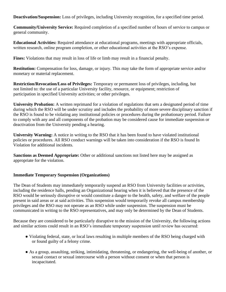**Deactivation/Suspension:** Loss of privileges, including University recognition, for a specified time period.

**Community/University Service:** Required completion of a specified number of hours of service to campus or general community.

**Educational Activities:** Required attendance at educational programs, meetings with appropriate officials, written research, online program completion, or other educational activities at the RSO's expense.

**Fines:** Violations that may result in loss of life or limb may result in a financial penalty.

**Restitution:** Compensation for loss, damage, or injury. This may take the form of appropriate service and/or monetary or material replacement.

**Restriction/Revocation/Loss of Privileges:** Temporary or permanent loss of privileges, including, but not limited to: the use of a particular University facility, resource, or equipment; restriction of participation in specified University activities; or other privileges.

**University Probation:** A written reprimand for a violation of regulations that sets a designated period of time during which the RSO will be under scrutiny and includes the probability of more severe disciplinary sanction if the RSO is found to be violating any institutional policies or procedures during the probationary period. Failure to comply with any and all components of the probation may be considered cause for immediate suspension or deactivation from the University pending a hearing.

**University Warning:** A notice in writing to the RSO that it has been found to have violated institutional policies or procedures. All RSO conduct warnings will be taken into consideration if the RSO is found In Violation for additional incidents.

**Sanctions as Deemed Appropriate:** Other or additional sanctions not listed here may be assigned as appropriate for the violation.

## **Immediate Temporary Suspension (Organizations)**

The Dean of Students may immediately temporarily suspend an RSO from University facilities or activities, including the residence halls, pending an Organizational hearing when it is believed that the presence of the RSO would be seriously disruptive or would constitute a danger to the health, safety, and welfare of the people present in said areas or at said activities. This suspension would temporarily revoke all campus membership privileges and the RSO may not operate as an RSO while under suspension. The suspension must be communicated in writing to the RSO representatives, and may only be determined by the Dean of Students.

Because they are considered to be particularly disruptive to the mission of the University, the following actions and similar actions could result in an RSO's immediate temporary suspension until review has occurred:

- Violating federal, state, or local laws resulting in multiple members of the RSO being charged with or found guilty of a felony crime.
- As a group, assaulting, striking, intimidating, threatening, or endangering, the well-being of another, or sexual contact or sexual intercourse with a person without consent or when that person is incapacitated.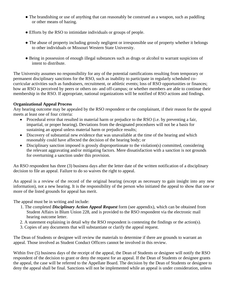- The brandishing or use of anything that can reasonably be construed as a weapon, such as paddling or other means of hazing.
- Efforts by the RSO to intimidate individuals or groups of people.
- The abuse of property including grossly negligent or irresponsible use of property whether it belongs to other individuals or Missouri Western State University.
- Being in possession of enough illegal substances such as drugs or alcohol to warrant suspicions of intent to distribute.

The University assumes no responsibility for any of the potential ramifications resulting from temporary or permanent disciplinary sanctions for the RSO, such as inability to participate in regularly scheduled cocurricular activities such as fundraisers, recruitment, or athletic events; loss of RSO opportunities or finances; how an RSO is perceived by peers or others on- and off-campus; or whether members are able to continue their membership in the RSO. If appropriate, national organizations will be notified of RSO actions and findings.

## **Organizational Appeal Process**

Any hearing outcome may be appealed by the RSO respondent or the complainant, if their reason for the appeal meets at least one of four criteria:

- Procedural error that resulted in material harm or prejudice to the RSO (i.e. by preventing a fair, impartial, or proper hearing). Deviations from the designated procedures will not be a basis for sustaining an appeal unless material harm or prejudice results;
- Discovery of substantial new evidence that was unavailable at the time of the hearing and which reasonably could have affected the decision of the hearing body; or
- Disciplinary sanction imposed is grossly disproportionate to the violation(s) committed, considering the relevant aggravating and/or mitigating factors. Mere dissatisfaction with a sanction is not grounds for overturning a sanction under this provision.

An RSO respondent has three (3) business days after the letter date of the written notification of a disciplinary decision to file an appeal. Failure to do so waives the right to appeal.

An appeal is a review of the record of the original hearing (except as necessary to gain insight into any new information), not a new hearing. It is the responsibility of the person who initiated the appeal to show that one or more of the listed grounds for appeal has merit.

The appeal must be in writing and include:

- 1. The completed *Disciplinary Action Appeal Request* form (see appendix), which can be obtained from Student Affairs in Blum Union 228, and is provided to the RSO respondent via the electronic mail hearing outcome letter.
- 2. A statement explaining in detail why the RSO respondent is contesting the findings or the action(s).
- 3. Copies of any documents that will substantiate or clarify the appeal request.

The Dean of Students or designee will review the materials to determine if there are grounds to warrant an appeal. Those involved as Student Conduct Officers cannot be involved in this review.

Within five (5) business days of the receipt of the appeal, the Dean of Students or designee will notify the RSO respondent of the decision to grant or deny the request for an appeal. If the Dean of Students or designee grants the appeal, the case will be referred to the Appellate Board. The decision by the Dean of Students or designee to deny the appeal shall be final. Sanctions will not be implemented while an appeal is under consideration, unless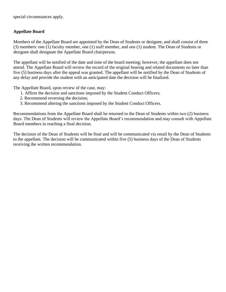special circumstances apply.

## **Appellate Board**

Members of the Appellate Board are appointed by the Dean of Students or designee, and shall consist of three (3) members: one (1) faculty member, one (1) staff member, and one (1) student. The Dean of Students or designee shall designate the Appellate Board chairperson.

The appellant will be notified of the date and time of the board meeting; however, the appellant does not attend. The Appellate Board will review the record of the original hearing and related documents no later than five (5) business days after the appeal was granted. The appellant will be notified by the Dean of Students of any delay and provide the student with an anticipated date the decision will be finalized.

The Appellate Board, upon review of the case, may:

- 1. Affirm the decision and sanctions imposed by the Student Conduct Officers;
- 2. Recommend reversing the decision;
- 3. Recommend altering the sanctions imposed by the Student Conduct Officers.

Recommendations from the Appellate Board shall be returned to the Dean of Students within two (2) business days. The Dean of Students will review the Appellate Board's recommendation and may consult with Appellate Board members in reaching a final decision.

The decision of the Dean of Students will be final and will be communicated via email by the Dean of Students to the appellant. The decision will be communicated within five (5) business days of the Dean of Students receiving the written recommendation.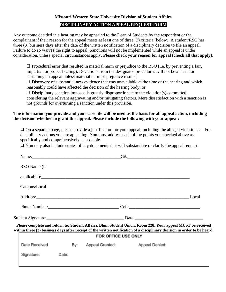#### **Missouri Western State University Division of Student Affairs**

#### **DISCIPLINARY ACTION APPEAL REQUEST FORM**

Any outcome decided in a hearing may be appealed to the Dean of Students by the respondent or the complainant if their reason for the appeal meets at least one of three (3) criteria (below). A student/RSO has three (3) business days after the date of the written notification of a disciplinary decision to file an appeal. Failure to do so waives the right to appeal. Sanctions will not be implemented while an appeal is under consideration, unless special circumstances apply. **Please check your reason for appeal (check all that apply):** 

❏ Procedural error that resulted in material harm or prejudice to the RSO (i.e. by preventing a fair, impartial, or proper hearing). Deviations from the designated procedures will not be a basis for sustaining an appeal unless material harm or prejudice results;

❏ Discovery of substantial new evidence that was unavailable at the time of the hearing and which reasonably could have affected the decision of the hearing body; or

❏ Disciplinary sanction imposed is grossly disproportionate to the violation(s) committed, considering the relevant aggravating and/or mitigating factors. Mere dissatisfaction with a sanction is not grounds for overturning a sanction under this provision.

#### **The information you provide and your case file will be used as the basis for all appeal action, including the decision whether to grant this appeal. Please include the following with your appeal:**

❏ On a separate page, please provide a justification for your appeal, including the alleged violations and/or disciplinary actions you are appealing. You must address each of the points you checked above as specifically and comprehensively as possible.

❏ You may also include copies of any documents that will substantiate or clarify the appeal request.

| RSO Name (if        |       |  |                     |                                                                                                                                                                                                                                         |  |
|---------------------|-------|--|---------------------|-----------------------------------------------------------------------------------------------------------------------------------------------------------------------------------------------------------------------------------------|--|
|                     |       |  |                     |                                                                                                                                                                                                                                         |  |
| Campus/Local        |       |  |                     |                                                                                                                                                                                                                                         |  |
|                     |       |  |                     |                                                                                                                                                                                                                                         |  |
|                     |       |  |                     |                                                                                                                                                                                                                                         |  |
|                     |       |  |                     |                                                                                                                                                                                                                                         |  |
|                     |       |  |                     | Please complete and return to: Student Affairs, Blum Student Union, Room 228. Your appeal MUST be received<br>within three (3) business days after receipt of the written notification of a disciplinary decision in order to be heard. |  |
| FOR OFFICE USE ONLY |       |  |                     |                                                                                                                                                                                                                                         |  |
| Date Received       |       |  | By: Appeal Granted: | Appeal Denied:                                                                                                                                                                                                                          |  |
| Signature:          | Date: |  |                     |                                                                                                                                                                                                                                         |  |
|                     |       |  |                     |                                                                                                                                                                                                                                         |  |